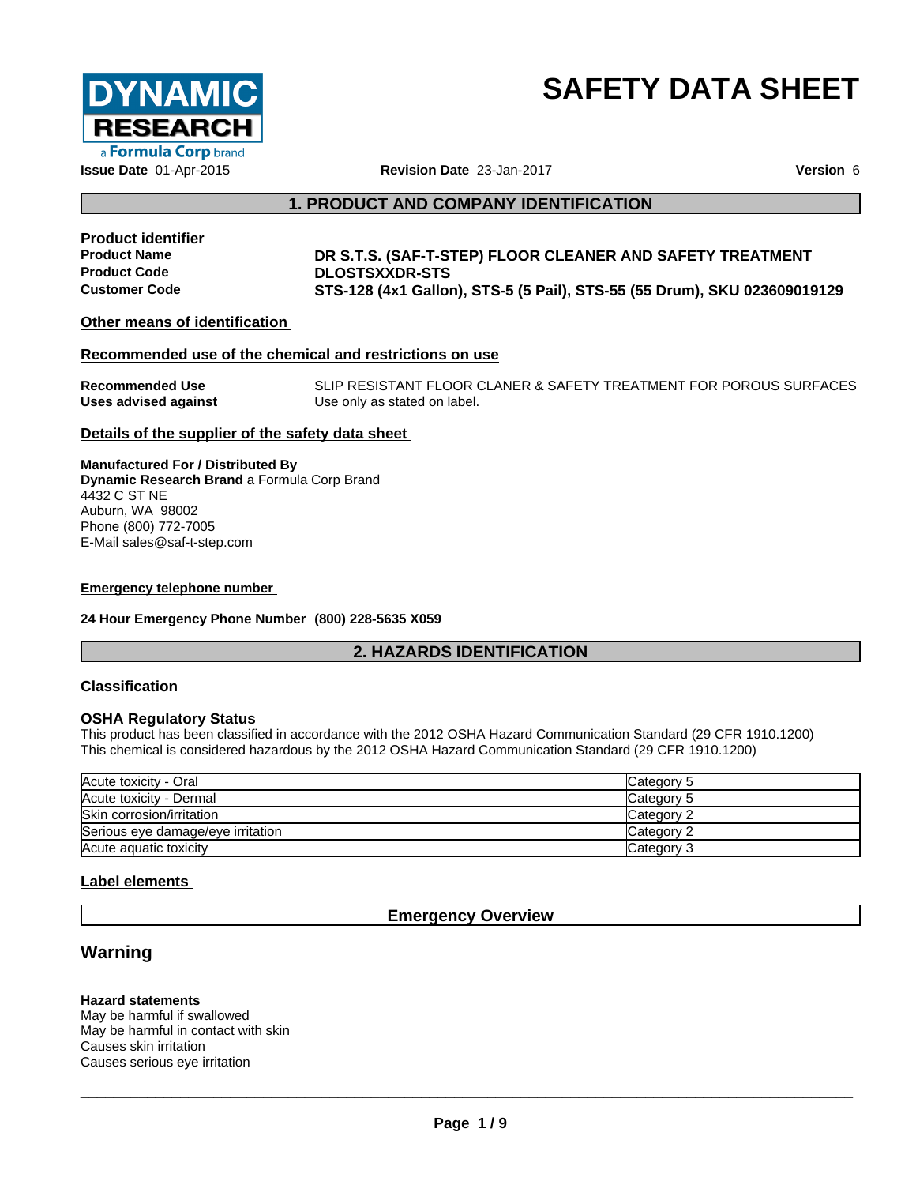

# **SAFETY DATA SHEET**

### **1. PRODUCT AND COMPANY IDENTIFICATION**

**Product identifier**

### **Product Name DR S.T.S. (SAF-T-STEP) FLOOR CLEANER AND SAFETY TREATMENT Product Code DLOSTSXXDR-STS Customer Code STS-128 (4x1 Gallon), STS-5 (5 Pail), STS-55 (55 Drum),SKU 023609019129**

**Other means of identification**

### **Recommended use of the chemical and restrictions on use**

| <b>Recommended Use</b> | SLIP RESISTANT FLOOR CLANER & SAFETY TREATMENT FOR POROUS SURFACES |
|------------------------|--------------------------------------------------------------------|
| Uses advised against   | Use only as stated on label.                                       |

### **Details of the supplier of the safety data sheet**

**Manufactured For / Distributed By Dynamic Research Brand** a Formula Corp Brand 4432 C ST NE Auburn, WA 98002 Phone (800) 772-7005 E-Mail sales@saf-t-step.com

#### **Emergency telephone number**

**24 Hour Emergency Phone Number (800) 228-5635 X059**

### **2. HAZARDS IDENTIFICATION**

### **Classification**

### **OSHA Regulatory Status**

This product has been classified in accordance with the 2012 OSHA Hazard Communication Standard (29 CFR 1910.1200) This chemical is considered hazardous by the 2012 OSHA Hazard Communication Standard (29 CFR 1910.1200)

| Acute toxicity - Oral             | Category 5 |
|-----------------------------------|------------|
| Acute toxicity - Dermal           | Category 5 |
| Skin corrosion/irritation         | Category 2 |
| Serious eye damage/eye irritation | Category 2 |
| Acute aguatic toxicity            | Category 3 |

### **Label elements**

### **Emergency Overview**

### **Warning**

#### **Hazard statements**

May be harmful if swallowed May be harmful in contact with skin Causes skin irritation Causes serious eye irritation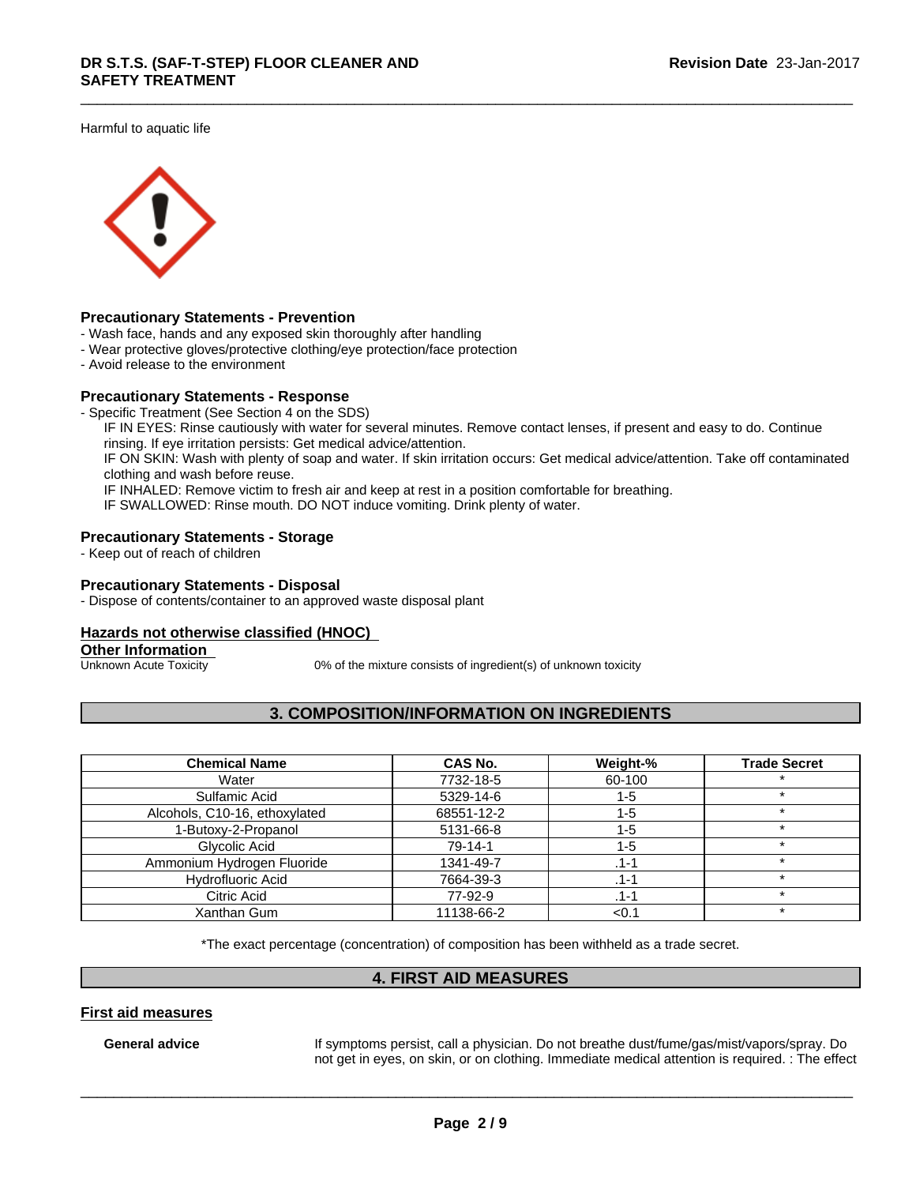Harmful to aquatic life



### **Precautionary Statements - Prevention**

- Wash face, hands and any exposed skin thoroughly after handling
- Wear protective gloves/protective clothing/eye protection/face protection
- Avoid release to the environment

### **Precautionary Statements - Response**

- Specific Treatment (See Section 4 on the SDS)

IF IN EYES: Rinse cautiously with water for several minutes. Remove contact lenses, if present and easy to do. Continue rinsing. If eye irritation persists: Get medical advice/attention.

IF ON SKIN: Wash with plenty of soap and water. If skin irritation occurs: Get medical advice/attention. Take off contaminated clothing and wash before reuse.

IF INHALED: Remove victim to fresh air and keep at rest in a position comfortable for breathing.

IF SWALLOWED: Rinse mouth. DO NOT induce vomiting. Drink plenty of water.

#### **Precautionary Statements - Storage**

- Keep out of reach of children

### **Precautionary Statements - Disposal**

- Dispose of contents/container to an approved waste disposal plant

### **Hazards not otherwise classified (HNOC)**

## **Other Information**<br>Unknown Acute Toxicity

 $0\%$  of the mixture consists of ingredient(s) of unknown toxicity

### **3. COMPOSITION/INFORMATION ON INGREDIENTS**

| <b>Chemical Name</b>          | CAS No.       | Weight-% | <b>Trade Secret</b> |
|-------------------------------|---------------|----------|---------------------|
| Water                         | 7732-18-5     | 60-100   |                     |
| Sulfamic Acid                 | 5329-14-6     | 1-5      |                     |
| Alcohols, C10-16, ethoxylated | 68551-12-2    | 1-5      |                     |
| 1-Butoxy-2-Propanol           | 5131-66-8     | 1-5      |                     |
| Glycolic Acid                 | $79 - 14 - 1$ | 1-5      |                     |
| Ammonium Hydrogen Fluoride    | 1341-49-7     | .1-1     |                     |
| <b>Hydrofluoric Acid</b>      | 7664-39-3     | .1-1     |                     |
| Citric Acid                   | 77-92-9       | .1-1     |                     |
| Xanthan Gum                   | 11138-66-2    | <0.7     |                     |

\*The exact percentage (concentration) of composition has been withheld as a trade secret.

### **4. FIRST AID MEASURES**

### **First aid measures**

General **advice** If symptoms persist, call a physician. Do not breathe dust/fume/gas/mist/vapors/spray. Do not get in eyes, on skin, or on clothing. Immediate medical attention is required.: The effect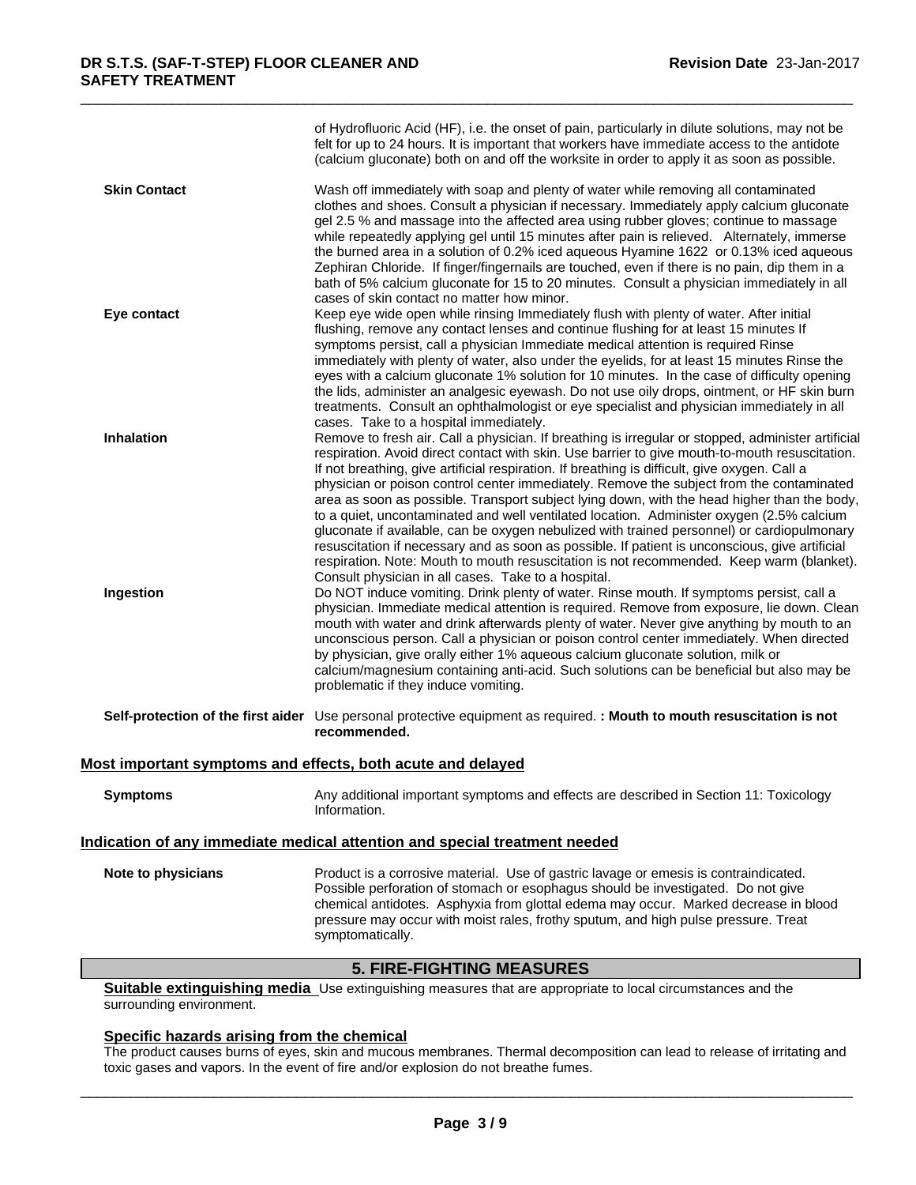|                                                             | <b>5. FIRE-FIGHTING MEASURES</b>                                                                                                                                                                                                                                                                                                                                                                                                                                                                                                                                                                                                                                                                                                                                                                                                                                                                                                                                                                                                                                                                                                                   |
|-------------------------------------------------------------|----------------------------------------------------------------------------------------------------------------------------------------------------------------------------------------------------------------------------------------------------------------------------------------------------------------------------------------------------------------------------------------------------------------------------------------------------------------------------------------------------------------------------------------------------------------------------------------------------------------------------------------------------------------------------------------------------------------------------------------------------------------------------------------------------------------------------------------------------------------------------------------------------------------------------------------------------------------------------------------------------------------------------------------------------------------------------------------------------------------------------------------------------|
| Note to physicians                                          | Product is a corrosive material. Use of gastric lavage or emesis is contraindicated.<br>Possible perforation of stomach or esophagus should be investigated. Do not give<br>chemical antidotes. Asphyxia from glottal edema may occur. Marked decrease in blood<br>pressure may occur with moist rales, frothy sputum, and high pulse pressure. Treat<br>symptomatically.                                                                                                                                                                                                                                                                                                                                                                                                                                                                                                                                                                                                                                                                                                                                                                          |
|                                                             | Information.<br>Indication of any immediate medical attention and special treatment needed                                                                                                                                                                                                                                                                                                                                                                                                                                                                                                                                                                                                                                                                                                                                                                                                                                                                                                                                                                                                                                                         |
| <b>Symptoms</b>                                             | Any additional important symptoms and effects are described in Section 11: Toxicology                                                                                                                                                                                                                                                                                                                                                                                                                                                                                                                                                                                                                                                                                                                                                                                                                                                                                                                                                                                                                                                              |
| Most important symptoms and effects, both acute and delayed |                                                                                                                                                                                                                                                                                                                                                                                                                                                                                                                                                                                                                                                                                                                                                                                                                                                                                                                                                                                                                                                                                                                                                    |
|                                                             | Self-protection of the first aider Use personal protective equipment as required. : Mouth to mouth resuscitation is not<br>recommended.                                                                                                                                                                                                                                                                                                                                                                                                                                                                                                                                                                                                                                                                                                                                                                                                                                                                                                                                                                                                            |
| Ingestion                                                   | area as soon as possible. Transport subject lying down, with the head higher than the body,<br>to a quiet, uncontaminated and well ventilated location. Administer oxygen (2.5% calcium<br>gluconate if available, can be oxygen nebulized with trained personnel) or cardiopulmonary<br>resuscitation if necessary and as soon as possible. If patient is unconscious, give artificial<br>respiration. Note: Mouth to mouth resuscitation is not recommended. Keep warm (blanket).<br>Consult physician in all cases. Take to a hospital.<br>Do NOT induce vomiting. Drink plenty of water. Rinse mouth. If symptoms persist, call a<br>physician. Immediate medical attention is required. Remove from exposure, lie down. Clean<br>mouth with water and drink afterwards plenty of water. Never give anything by mouth to an<br>unconscious person. Call a physician or poison control center immediately. When directed<br>by physician, give orally either 1% aqueous calcium gluconate solution, milk or<br>calcium/magnesium containing anti-acid. Such solutions can be beneficial but also may be<br>problematic if they induce vomiting. |
| <b>Inhalation</b>                                           | eyes with a calcium gluconate 1% solution for 10 minutes. In the case of difficulty opening<br>the lids, administer an analgesic eyewash. Do not use oily drops, ointment, or HF skin burn<br>treatments. Consult an ophthalmologist or eye specialist and physician immediately in all<br>cases. Take to a hospital immediately.<br>Remove to fresh air. Call a physician. If breathing is irregular or stopped, administer artificial<br>respiration. Avoid direct contact with skin. Use barrier to give mouth-to-mouth resuscitation.<br>If not breathing, give artificial respiration. If breathing is difficult, give oxygen. Call a<br>physician or poison control center immediately. Remove the subject from the contaminated                                                                                                                                                                                                                                                                                                                                                                                                             |
| Eye contact                                                 | bath of 5% calcium gluconate for 15 to 20 minutes. Consult a physician immediately in all<br>cases of skin contact no matter how minor.<br>Keep eye wide open while rinsing Immediately flush with plenty of water. After initial<br>flushing, remove any contact lenses and continue flushing for at least 15 minutes If<br>symptoms persist, call a physician Immediate medical attention is required Rinse<br>immediately with plenty of water, also under the eyelids, for at least 15 minutes Rinse the                                                                                                                                                                                                                                                                                                                                                                                                                                                                                                                                                                                                                                       |
| <b>Skin Contact</b>                                         | Wash off immediately with soap and plenty of water while removing all contaminated<br>clothes and shoes. Consult a physician if necessary. Immediately apply calcium gluconate<br>gel 2.5 % and massage into the affected area using rubber gloves; continue to massage<br>while repeatedly applying gel until 15 minutes after pain is relieved. Alternately, immerse<br>the burned area in a solution of 0.2% iced aqueous Hyamine 1622 or 0.13% iced aqueous<br>Zephiran Chloride. If finger/fingernails are touched, even if there is no pain, dip them in a                                                                                                                                                                                                                                                                                                                                                                                                                                                                                                                                                                                   |
|                                                             | of Hydrofluoric Acid (HF), i.e. the onset of pain, particularly in dilute solutions, may not be<br>felt for up to 24 hours. It is important that workers have immediate access to the antidote<br>(calcium gluconate) both on and off the worksite in order to apply it as soon as possible.                                                                                                                                                                                                                                                                                                                                                                                                                                                                                                                                                                                                                                                                                                                                                                                                                                                       |

**Suitable extinguishing media** Use extinguishing measures that are appropriate to local circumstances and the surrounding environment.

### **Specific hazards arising from the chemical**

The product causes burns of eyes, skin and mucous membranes. Thermal decomposition can lead to release of irritating and toxic gases and vapors. In the event of fire and/or explosion do not breathe fumes.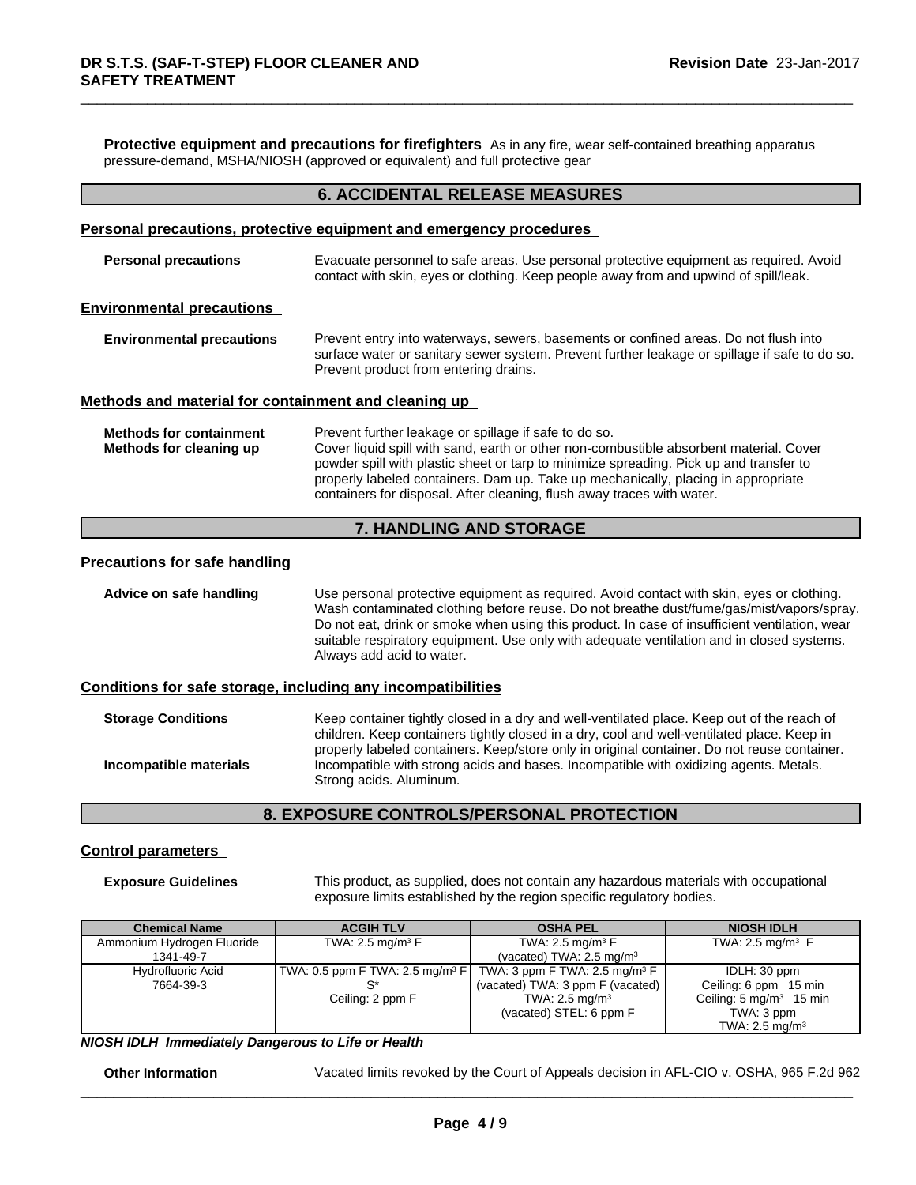**Protective equipment and precautions for firefighters** As in any fire, wear self-contained breathing apparatus pressure-demand, MSHA/NIOSH (approved or equivalent) and full protective gear

### **6. ACCIDENTAL RELEASE MEASURES**

### **Personal precautions, protective equipment and emergency procedures**

**Personal precautions** Evacuate personnel to safe areas. Use personal protective equipment as required. Avoid contact with skin, eyes or clothing. Keep people away from and upwind of spill/leak.

#### **Environmental precautions**

**Environmental precautions** Prevent entry into waterways, sewers, basements or confined areas. Do not flush into surface water or sanitary sewer system. Prevent further leakage or spillage if safe to do so. Prevent product from entering drains.

### **Methods and material for containment and cleaning up**

**Methods for containment** Prevent further leakage or spillage if safe to do so. **Methods for cleaning up** Cover liquid spill with sand, earth or other non-combustible absorbent material. Cover powder spill with plastic sheet or tarp to minimize spreading. Pick up and transfer to properly labeled containers. Dam up. Take up mechanically, placing in appropriate containers for disposal. After cleaning, flush away traces with water.

### **7. HANDLING AND STORAGE**

#### **Precautions for safe handling**

**Advice on safe handling** Use personal protective equipment as required.Avoid contact with skin, eyes or clothing. Wash contaminated clothing before reuse. Do not breathe dust/fume/gas/mist/vapors/spray. Do not eat, drink or smoke when using this product. In case of insufficient ventilation, wear suitable respiratory equipment. Use only with adequate ventilation and in closed systems. Always add acid to water.

### **Conditions for safe storage, including any incompatibilities**

**Storage Conditions** Keep container tightly closed in a dry and well-ventilated place. Keep out of the reach of children. Keep containers tightly closed in a dry, cool and well-ventilated place. Keep in properly labeled containers. Keep/store only in original container. Do not reuse container. **Incompatible materials Incompatible** with strong acids and bases. Incompatible with oxidizing agents. Metals. Strong acids. Aluminum.

### **8. EXPOSURE CONTROLS/PERSONAL PROTECTION**

### **Control parameters**

**Exposure Guidelines** This product, as supplied, does not contain any hazardous materials with occupational exposure limits established by the region specific regulatory bodies.

| <b>Chemical Name</b>       | <b>ACGIH TLV</b>                               | <b>OSHA PEL</b>                          | <b>NIOSH IDLH</b>                  |
|----------------------------|------------------------------------------------|------------------------------------------|------------------------------------|
| Ammonium Hydrogen Fluoride | TWA: 2.5 mg/m <sup>3</sup> $F$                 | TWA: 2.5 mg/m <sup>3</sup> $F$           | TWA: 2.5 mg/m <sup>3</sup> $\,$ F  |
| 1341-49-7                  |                                                | (vacated) TWA: $2.5 \text{ mg/m}^3$      |                                    |
| Hydrofluoric Acid          | $ TWA: 0.5$ ppm F TWA: 2.5 mg/m <sup>3</sup> F | TWA: 3 ppm F TWA: $2.5 \text{ mg/m}^3$ F | IDLH: 30 ppm                       |
| 7664-39-3                  |                                                | (vacated) TWA: 3 ppm F (vacated)         | Ceiling: 6 ppm 15 min              |
|                            | Ceiling: 2 ppm F                               | TWA: 2.5 mg/m <sup>3</sup>               | Ceiling: $5 \text{ mg/m}^3$ 15 min |
|                            |                                                | (vacated) STEL: 6 ppm F                  | TWA: 3 ppm                         |
|                            |                                                |                                          | TWA: $2.5 \text{ mg/m}^3$          |

*NIOSH IDLH Immediately Dangerous to Life or Health*

**Other Information** Vacated limits revoked by the Court of Appeals decision in AFL-CIO v.OSHA, 965 F.2d 962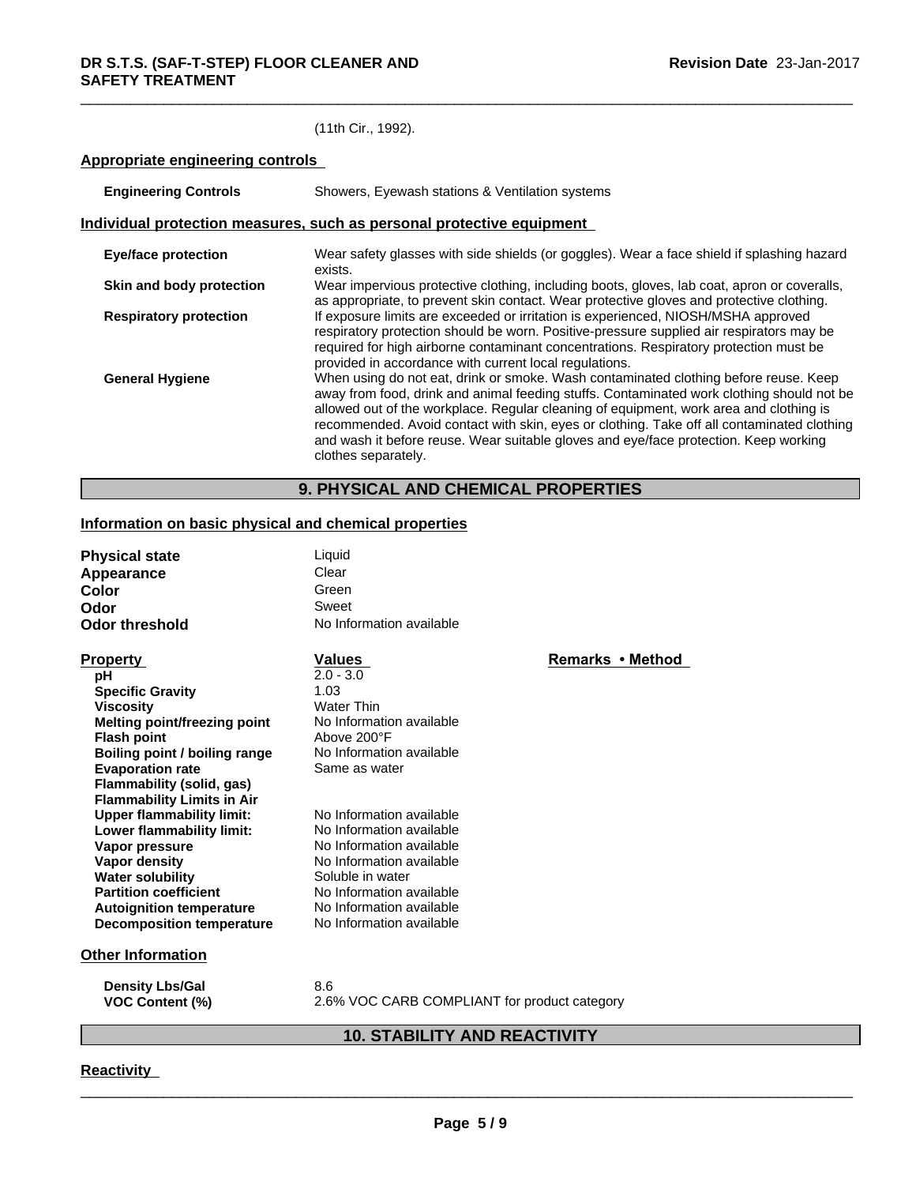### (11th Cir., 1992).

### **Appropriate engineering controls**

| <b>Engineering Controls</b>                                           | Showers, Eyewash stations & Ventilation systems                                                                                                                                                                                                                                                                                                                                                                                                                                          |  |  |
|-----------------------------------------------------------------------|------------------------------------------------------------------------------------------------------------------------------------------------------------------------------------------------------------------------------------------------------------------------------------------------------------------------------------------------------------------------------------------------------------------------------------------------------------------------------------------|--|--|
| Individual protection measures, such as personal protective equipment |                                                                                                                                                                                                                                                                                                                                                                                                                                                                                          |  |  |
| <b>Eye/face protection</b>                                            | Wear safety glasses with side shields (or goggles). Wear a face shield if splashing hazard<br>exists.                                                                                                                                                                                                                                                                                                                                                                                    |  |  |
| Skin and body protection                                              | Wear impervious protective clothing, including boots, gloves, lab coat, apron or coveralls,<br>as appropriate, to prevent skin contact. Wear protective gloves and protective clothing.                                                                                                                                                                                                                                                                                                  |  |  |
| <b>Respiratory protection</b>                                         | If exposure limits are exceeded or irritation is experienced, NIOSH/MSHA approved<br>respiratory protection should be worn. Positive-pressure supplied air respirators may be<br>required for high airborne contaminant concentrations. Respiratory protection must be<br>provided in accordance with current local regulations.                                                                                                                                                         |  |  |
| <b>General Hygiene</b>                                                | When using do not eat, drink or smoke. Wash contaminated clothing before reuse. Keep<br>away from food, drink and animal feeding stuffs. Contaminated work clothing should not be<br>allowed out of the workplace. Regular cleaning of equipment, work area and clothing is<br>recommended. Avoid contact with skin, eyes or clothing. Take off all contaminated clothing<br>and wash it before reuse. Wear suitable gloves and eye/face protection. Keep working<br>clothes separately. |  |  |

### **9. PHYSICAL AND CHEMICAL PROPERTIES**

### **Information on basic physical and chemical properties**

| <b>Physical state</b><br>Appearance<br>Color<br>Odor<br>Odor threshold                                                                                                                                                                                          | Liquid<br>Clear<br>Green<br>Sweet<br>No Information available                                                                                                                                                        |                  |
|-----------------------------------------------------------------------------------------------------------------------------------------------------------------------------------------------------------------------------------------------------------------|----------------------------------------------------------------------------------------------------------------------------------------------------------------------------------------------------------------------|------------------|
| <b>Property</b><br>рH<br><b>Specific Gravity</b><br><b>Viscosity</b><br><b>Melting point/freezing point</b><br><b>Flash point</b><br>Boiling point / boiling range<br><b>Evaporation rate</b><br>Flammability (solid, gas)<br><b>Flammability Limits in Air</b> | <b>Values</b><br>$2.0 - 3.0$<br>1.03<br><b>Water Thin</b><br>No Information available<br>Above 200°F<br>No Information available<br>Same as water                                                                    | Remarks • Method |
| <b>Upper flammability limit:</b><br>Lower flammability limit:<br>Vapor pressure<br>Vapor density<br><b>Water solubility</b><br><b>Partition coefficient</b><br><b>Autoignition temperature</b><br><b>Decomposition temperature</b>                              | No Information available<br>No Information available<br>No Information available<br>No Information available<br>Soluble in water<br>No Information available<br>No Information available<br>No Information available |                  |
| <b>Other Information</b><br><b>Density Lbs/Gal</b><br><b>VOC Content (%)</b>                                                                                                                                                                                    | 8.6<br>2.6% VOC CARB COMPLIANT for product category                                                                                                                                                                  |                  |

### **Rinds** • Method

### **10. STABILITY AND REACTIVITY**

### **Reactivity**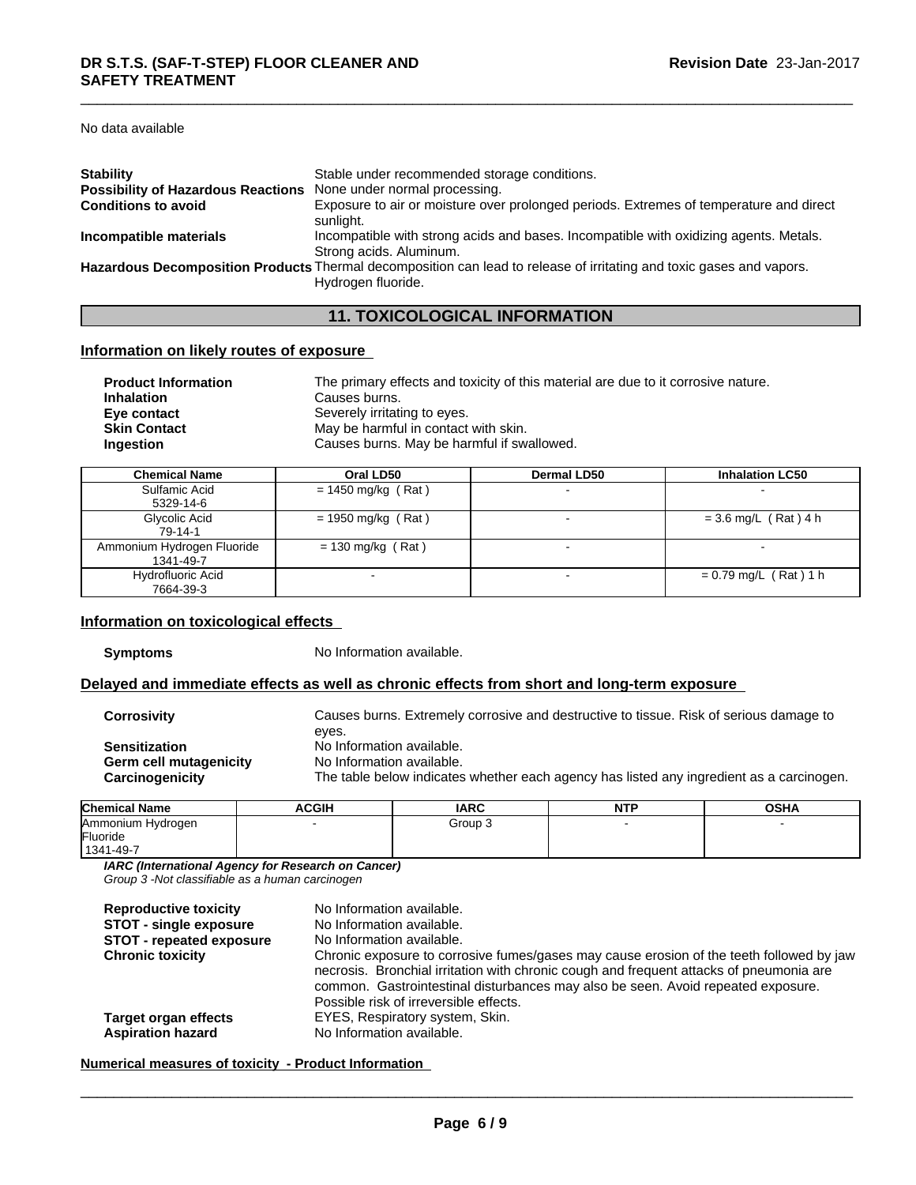No data available

| <b>Stability</b>                                                 | Stable under recommended storage conditions.                                                                                               |
|------------------------------------------------------------------|--------------------------------------------------------------------------------------------------------------------------------------------|
| Possibility of Hazardous Reactions None under normal processing. |                                                                                                                                            |
| <b>Conditions to avoid</b>                                       | Exposure to air or moisture over prolonged periods. Extremes of temperature and direct<br>sunlight.                                        |
| Incompatible materials                                           | Incompatible with strong acids and bases. Incompatible with oxidizing agents. Metals.<br>Strong acids. Aluminum.                           |
|                                                                  | Hazardous Decomposition Products Thermal decomposition can lead to release of irritating and toxic gases and vapors.<br>Hydrogen fluoride. |
|                                                                  |                                                                                                                                            |

### **11. TOXICOLOGICAL INFORMATION**

### **Information on likely routes of exposure**

| <b>Product Information</b> | The primary effects and toxicity of this material are due to it corrosive nature. |
|----------------------------|-----------------------------------------------------------------------------------|
| <b>Inhalation</b>          | Causes burns.                                                                     |
| Eye contact                | Severely irritating to eyes.                                                      |
| <b>Skin Contact</b>        | May be harmful in contact with skin.                                              |
| <b>Ingestion</b>           | Causes burns. May be harmful if swallowed.                                        |

| <b>Chemical Name</b>       | Oral LD50            | <b>Dermal LD50</b> | <b>Inhalation LC50</b>  |
|----------------------------|----------------------|--------------------|-------------------------|
| Sulfamic Acid              | $= 1450$ mg/kg (Rat) |                    |                         |
| 5329-14-6                  |                      |                    |                         |
| Glycolic Acid              | $= 1950$ mg/kg (Rat) |                    | $= 3.6$ mg/L (Rat) 4 h  |
| 79-14-1                    |                      |                    |                         |
| Ammonium Hydrogen Fluoride | $= 130$ mg/kg (Rat)  |                    |                         |
| 1341-49-7                  |                      |                    |                         |
| Hydrofluoric Acid          |                      |                    | $= 0.79$ mg/L (Rat) 1 h |
| 7664-39-3                  |                      |                    |                         |

### **Information on toxicological effects**

**Symptoms** No Information available.

### **Delayed and immediate effects as well as chronic effects from short and long-term exposure**

**Corrosivity** Causes burns. Extremely corrosive and destructive to tissue. Risk of serious damage to eyes. **Sensitization** No Information available. **Germ cell mutagenicity** No Information available. **Carcinogenicity** The table below indicates whether each agency has listed any ingredient as a carcinogen.

| <b>Chemical Name</b> | <b>ACGIH</b> | <b>IARC</b> | <b>NITD</b><br>IV L | <b>OSHA</b> |
|----------------------|--------------|-------------|---------------------|-------------|
| Ammonium Hydrogen    |              | Group 3     |                     |             |
| Fluoride             |              |             |                     |             |
| 1341-49-7            |              |             |                     |             |

*IARC (International Agency for Research on Cancer)*

*Group 3 -Not classifiable as a human carcinogen*

| <b>Reproductive toxicity</b><br><b>STOT - single exposure</b> | No Information available.<br>No Information available.                                                                                                                                                                                                                                                            |
|---------------------------------------------------------------|-------------------------------------------------------------------------------------------------------------------------------------------------------------------------------------------------------------------------------------------------------------------------------------------------------------------|
| <b>STOT</b> - repeated exposure                               | No Information available.                                                                                                                                                                                                                                                                                         |
| <b>Chronic toxicity</b>                                       | Chronic exposure to corrosive fumes/gases may cause erosion of the teeth followed by jaw<br>necrosis. Bronchial irritation with chronic cough and frequent attacks of pneumonia are<br>common. Gastrointestinal disturbances may also be seen. Avoid repeated exposure.<br>Possible risk of irreversible effects. |
| Target organ effects                                          | EYES, Respiratory system, Skin.                                                                                                                                                                                                                                                                                   |
| <b>Aspiration hazard</b>                                      | No Information available.                                                                                                                                                                                                                                                                                         |

### **Numerical measures of toxicity - Product Information**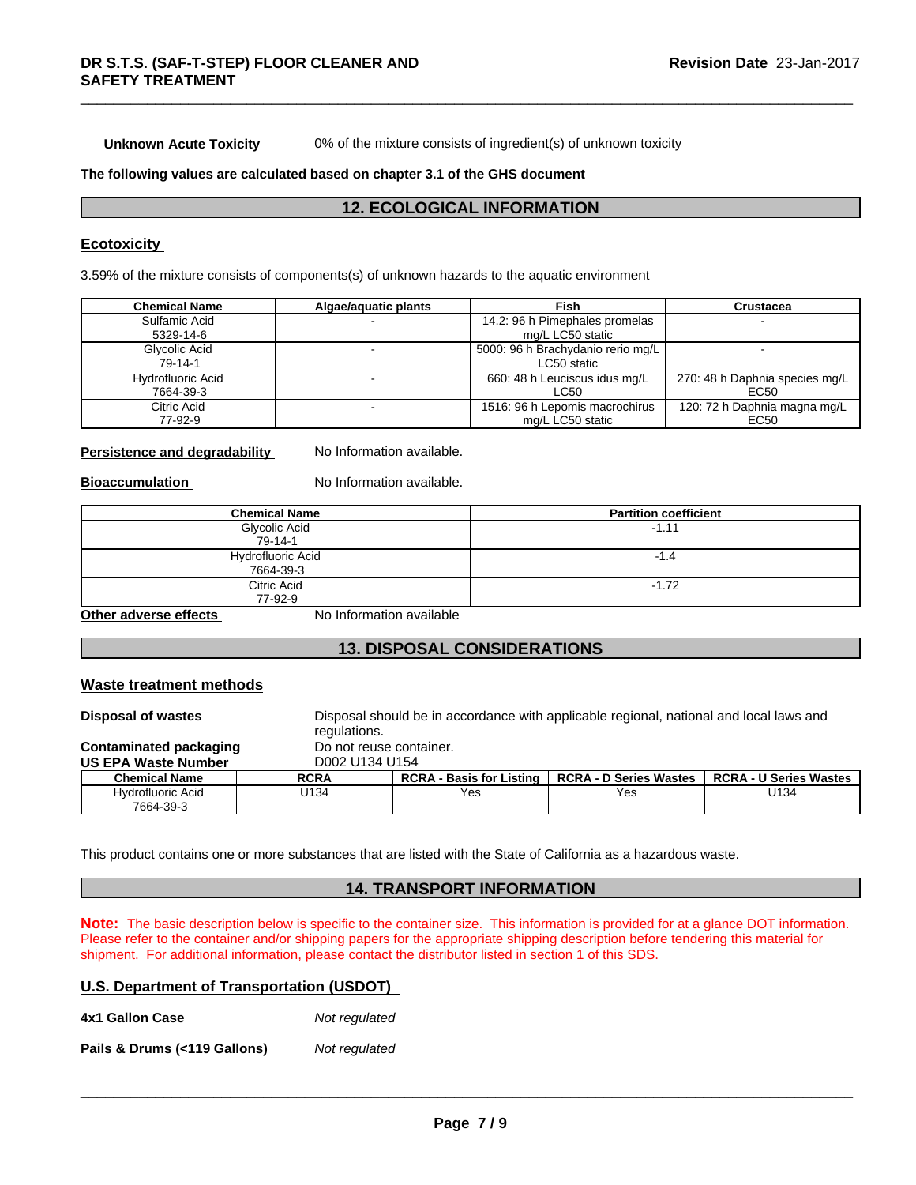**Unknown Acute Toxicity** 0% of the mixture consists of ingredient(s) of unknown toxicity

#### **The following values are calculated based on chapter 3.1 of the GHS document**

### **12. ECOLOGICAL INFORMATION**

### **Ecotoxicity**

3.59% of the mixture consists of components(s) of unknown hazards to the aquatic environment

| <b>Chemical Name</b>     | Algae/aguatic plants | Fish                              | Crustacea                      |
|--------------------------|----------------------|-----------------------------------|--------------------------------|
| Sulfamic Acid            |                      | 14.2: 96 h Pimephales promelas    |                                |
| 5329-14-6                |                      | mg/L LC50 static                  |                                |
| Glycolic Acid            |                      | 5000: 96 h Brachydanio rerio mg/L |                                |
| 79-14-1                  |                      | LC50 static                       |                                |
| <b>Hydrofluoric Acid</b> |                      | 660: 48 h Leuciscus idus mg/L     | 270: 48 h Daphnia species mg/L |
| 7664-39-3                |                      | LC50                              | EC50                           |
| Citric Acid              |                      | 1516: 96 h Lepomis macrochirus    | 120: 72 h Daphnia magna mg/L   |
| 77-92-9                  |                      | mg/L LC50 static                  | EC50                           |

### **Persistence and degradability** No Information available.

**Bioaccumulation** No Information available.

| <b>Chemical Name</b>  | <b>Partition coefficient</b> |
|-----------------------|------------------------------|
| Glycolic Acid         | $-1.11$                      |
| 79-14-1               |                              |
| Hydrofluoric Acid     | $-1.4$                       |
| 7664-39-3             |                              |
| Citric Acid           | $-1.72$                      |
| 77-92-9               |                              |
| Other adverse effects | No Information available     |

### **13. DISPOSAL CONSIDERATIONS**

#### **Waste treatment methods**

**Disposal of wastes** Disposal should be in accordance with applicable regional, national and local laws and regulations. **Contaminated packaging Do not reuse container. US EPA Waste Number** D002 U134 U154 **Chemical Name RCRA RCRA - Basis for Listing RCRA - D Series Wastes RCRA - U Series Wastes** Hydrofluoric Acid 7664-39-3 U134 Yes Yes U134

This product contains one or more substances that are listed with the State of California as a hazardous waste.

### **14. TRANSPORT INFORMATION**

**Note:** The basic description below is specific to the container size. This information is provided for at a glance DOT information. Please refer to the container and/or shipping papers for the appropriate shipping description before tendering this material for shipment. For additional information, please contact the distributor listed in section 1 of this SDS.

### **U.S. Department of Transportation (USDOT)**

**4x1 Gallon Case** *Not regulated* **Pails & Drums (<119 Gallons)***Not regulated*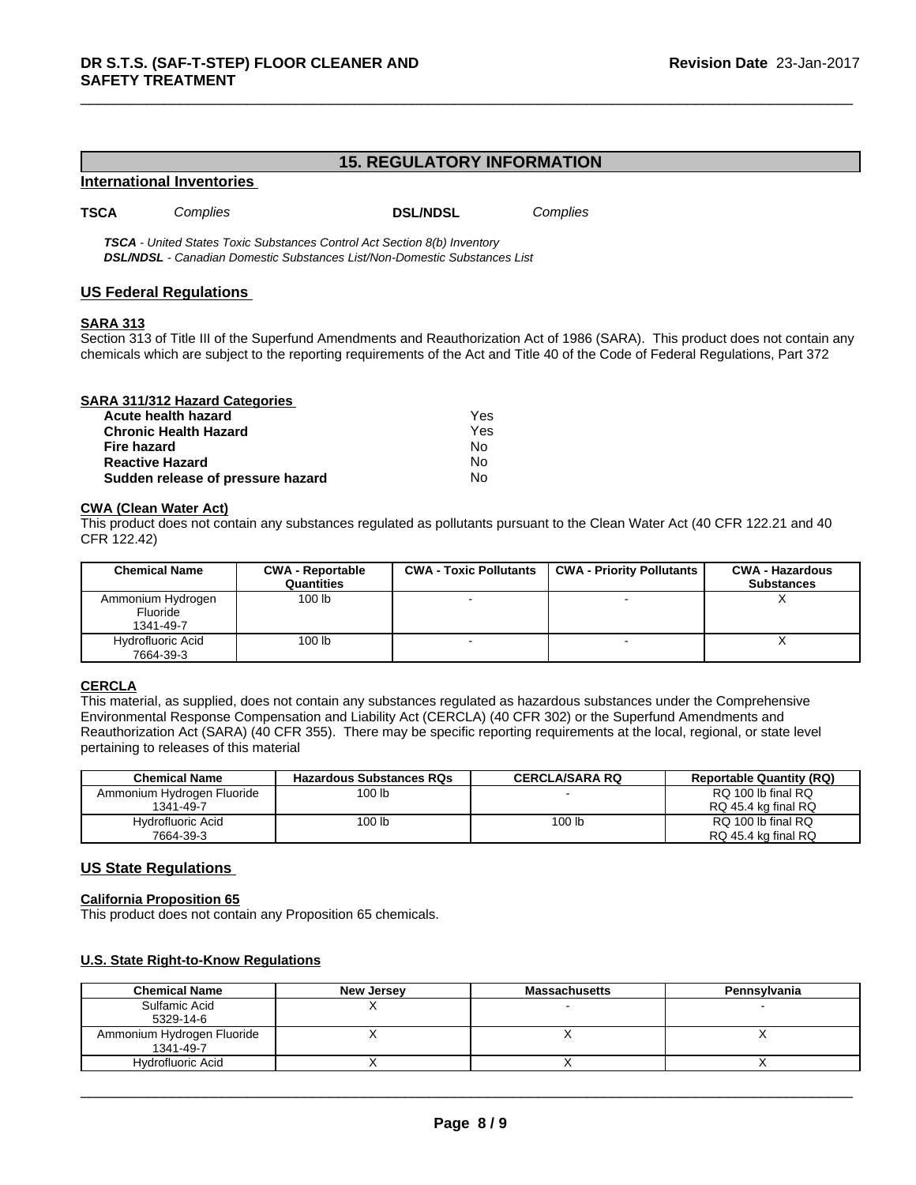### **15. REGULATORY INFORMATION**

#### **International Inventories**

**TSCA** *Complies* **DSL/NDSL**

*Complies*

*TSCA - United States Toxic Substances Control Act Section 8(b) Inventory DSL/NDSL - Canadian Domestic Substances List/Non-Domestic Substances List*

### **US Federal Regulations**

### **SARA 313**

Section 313 of Title III of the Superfund Amendments and Reauthorization Act of 1986 (SARA). This product does not contain any chemicals which are subject to the reporting requirements of the Act and Title 40 of the Code of Federal Regulations, Part 372

| SARA 311/312 Hazard Categories    |     |  |
|-----------------------------------|-----|--|
| Acute health hazard               | Yes |  |
| <b>Chronic Health Hazard</b>      | Yes |  |
| Fire hazard                       | No  |  |
| <b>Reactive Hazard</b>            | No  |  |
| Sudden release of pressure hazard | No  |  |

#### **CWA** (Clean Water Act)

This product does not contain any substances regulated as pollutants pursuant to the Clean Water Act (40 CFR 122.21 and 40 CFR 122.42)

| <b>Chemical Name</b>                       | <b>CWA - Reportable</b><br>Quantities | <b>CWA - Toxic Pollutants</b> | <b>CWA - Priority Pollutants</b> | <b>CWA - Hazardous</b><br><b>Substances</b> |
|--------------------------------------------|---------------------------------------|-------------------------------|----------------------------------|---------------------------------------------|
| Ammonium Hydrogen<br>Fluoride<br>1341-49-7 | 100 <sub>lb</sub>                     |                               |                                  | $\lambda$                                   |
| Hydrofluoric Acid<br>7664-39-3             | 100 <sub>lb</sub>                     |                               |                                  |                                             |

#### **CERCLA**

This material, as supplied, does not contain any substances regulated as hazardous substances under the Comprehensive Environmental Response Compensation and Liability Act (CERCLA) (40 CFR 302) or the Superfund Amendments and Reauthorization Act (SARA) (40 CFR 355). There may be specific reporting requirements at the local, regional, or state level pertaining to releases of this material

| <b>Chemical Name</b>       | <b>Hazardous Substances RQs</b> | <b>CERCLA/SARA RQ</b> | <b>Reportable Quantity (RQ)</b> |
|----------------------------|---------------------------------|-----------------------|---------------------------------|
| Ammonium Hydrogen Fluoride | 100 lb                          |                       | RQ 100 lb final RQ              |
| 1341-49-7                  |                                 |                       | RQ 45.4 kg final RQ             |
| Hydrofluoric Acid          | 100 lb                          | 100 lb                | RQ 100 lb final RQ              |
| 7664-39-3                  |                                 |                       | RQ 45.4 kg final RQ             |

### **US State Regulations**

### **California Proposition 65**

This product does not contain any Proposition 65 chemicals.

### **U.S. State Right-to-Know Regulations**

| <b>Chemical Name</b>       | New Jersey | <b>Massachusetts</b> | Pennsylvania |
|----------------------------|------------|----------------------|--------------|
| Sulfamic Acid              |            |                      |              |
| 5329-14-6                  |            |                      |              |
| Ammonium Hydrogen Fluoride |            |                      |              |
| 1341-49-7                  |            |                      |              |
| Hydrofluoric Acid          |            |                      |              |